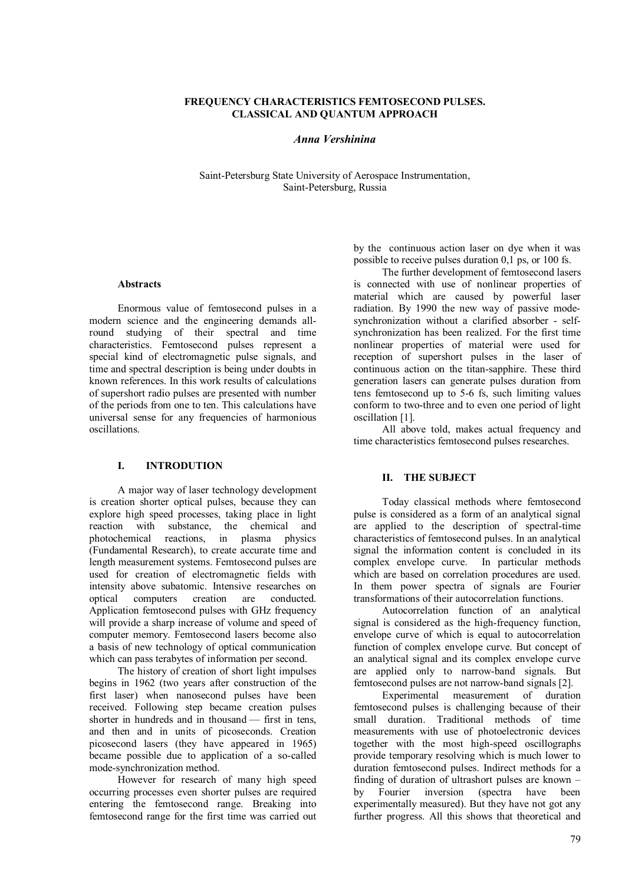#### **FREQUENCY CHARACTERISTICS FEMTOSECOND PULSES. CLASSICAL AND QUANTUM APPROACH**

#### *Anna Vershinina*

Saint-Petersburg State University of Aerospace Instrumentation, Saint-Petersburg, Russia

# **Abstracts**

Enormous value of femtosecond pulses in a modern science and the engineering demands allround studying of their spectral and time characteristics. Femtosecond pulses represent a special kind of electromagnetic pulse signals, and time and spectral description is being under doubts in known references. In this work results of calculations of supershort radio pulses are presented with number of the periods from one to ten. This calculations have universal sense for any frequencies of harmonious oscillations.

# **I. INTRODUTION**

A major way of laser technology development is creation shorter optical pulses, because they can explore high speed processes, taking place in light reaction with substance, the chemical and photochemical reactions, in plasma physics photochemical reactions, in plasma (Fundamental Research), to create accurate time and length measurement systems. Femtosecond pulses are used for creation of electromagnetic fields with intensity above subatomic. Intensive researches on optical computers creation are conducted. Application femtosecond pulses with GHz frequency will provide a sharp increase of volume and speed of computer memory. Femtosecond lasers become also a basis of new technology of optical communication which can pass terabytes of information per second.

The history of creation of short light impulses begins in 1962 (two years after construction of the first laser) when nanosecond pulses have been received. Following step became creation pulses shorter in hundreds and in thousand — first in tens, and then and in units of picoseconds. Creation picosecond lasers (they have appeared in 1965) became possible due to application of a so-called mode-synchronization method.

However for research of many high speed occurring processes even shorter pulses are required entering the femtosecond range. Breaking into femtosecond range for the first time was carried out by the continuous action laser on dye when it was possible to receive pulses duration 0,1 ps, or 100 fs.

The further development of femtosecond lasers is connected with use of nonlinear properties of material which are caused by powerful laser radiation. By 1990 the new way of passive modesynchronization without a clarified absorber - selfsynchronization has been realized. For the first time nonlinear properties of material were used for reception of supershort pulses in the laser of continuous action on the titan-sapphire. These third generation lasers can generate pulses duration from tens femtosecond up to 5-6 fs, such limiting values conform to two-three and to even one period of light oscillation [1].

All above told, makes actual frequency and time characteristics femtosecond pulses researches.

### **II. THE SUBJECT**

Today classical methods where femtosecond pulse is considered as a form of an analytical signal are applied to the description of spectral-time characteristics of femtosecond pulses. In an analytical signal the information content is concluded in its complex envelope curve. In particular methods which are based on correlation procedures are used. In them power spectra of signals are Fourier transformations of their autocorrelation functions.

Autocorrelation function of an analytical signal is considered as the high-frequency function, envelope curve of which is equal to autocorrelation function of complex envelope curve. But concept of an analytical signal and its complex envelope curve are applied only to narrow-band signals. But femtosecond pulses are not narrow-band signals [2].

Experimental measurement of duration femtosecond pulses is challenging because of their small duration. Traditional methods of time measurements with use of photoelectronic devices together with the most high-speed oscillographs provide temporary resolving which is much lower to duration femtosecond pulses. Indirect methods for a finding of duration of ultrashort pulses are known –<br>by Fourier inversion (spectra have been by Fourier inversion (spectra have experimentally measured). But they have not got any further progress. All this shows that theoretical and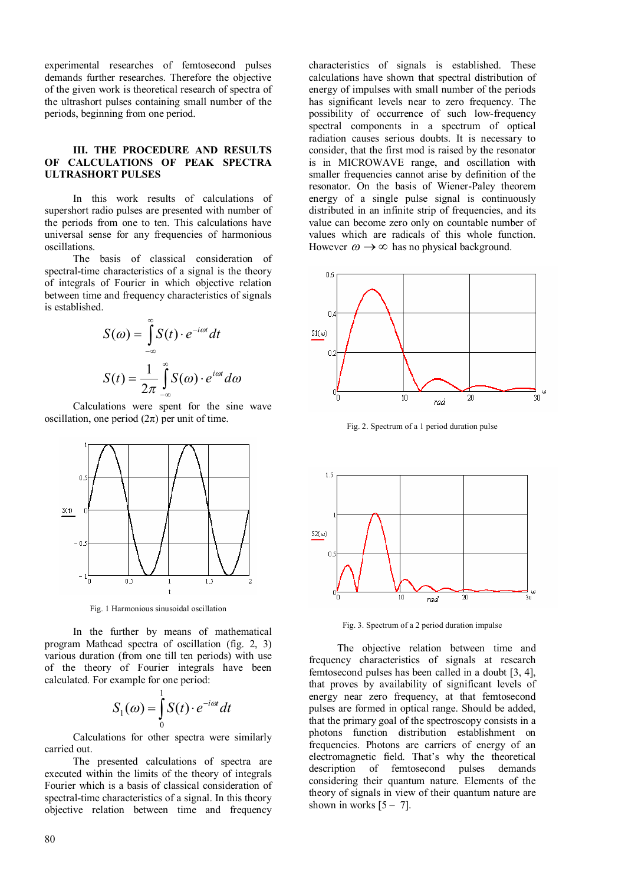experimental researches of femtosecond pulses demands further researches. Therefore the objective of the given work is theoretical research of spectra of the ultrashort pulses containing small number of the periods, beginning from one period.

### **III. THE PROCEDURE AND RESULTS OF CALCULATIONS OF PEAK SPECTRA ULTRASHORT PULSES**

In this work results of calculations of supershort radio pulses are presented with number of the periods from one to ten. This calculations have universal sense for any frequencies of harmonious oscillations.

The basis of classical consideration of spectral-time characteristics of a signal is the theory of integrals of Fourier in which objective relation between time and frequency characteristics of signals is established.

$$
S(\omega) = \int_{-\infty}^{\infty} S(t) \cdot e^{-i\omega t} dt
$$

$$
S(t) = \frac{1}{2\pi} \int_{-\infty}^{\infty} S(\omega) \cdot e^{i\omega t} d\omega
$$

Calculations were spent for the sine wave oscillation, one period  $(2\pi)$  per unit of time.



Fig. 1 Harmonious sinusoidal oscillation

In the further by means of mathematical program Mathcad spectra of oscillation (fig. 2, 3) various duration (from one till ten periods) with use of the theory of Fourier integrals have been calculated. For example for one period:

$$
S_1(\omega) = \int_0^1 S(t) \cdot e^{-i\omega t} dt
$$

Calculations for other spectra were similarly carried out.

The presented calculations of spectra are executed within the limits of the theory of integrals Fourier which is a basis of classical consideration of spectral-time characteristics of a signal. In this theory objective relation between time and frequency

characteristics of signals is established. These calculations have shown that spectral distribution of energy of impulses with small number of the periods has significant levels near to zero frequency. The possibility of occurrence of such low-frequency spectral components in a spectrum of optical radiation causes serious doubts. It is necessary to consider, that the first mod is raised by the resonator is in MICROWAVE range, and oscillation with smaller frequencies cannot arise by definition of the resonator. On the basis of Wiener-Paley theorem energy of a single pulse signal is continuously distributed in an infinite strip of frequencies, and its value can become zero only on countable number of values which are radicals of this whole function. However  $\omega \rightarrow \infty$  has no physical background.



Fig. 2. Spectrum of a 1 period duration pulse



Fig. 3. Spectrum of a 2 period duration impulse

The objective relation between time and frequency characteristics of signals at research femtosecond pulses has been called in a doubt [3, 4], that proves by availability of significant levels of energy near zero frequency, at that femtosecond pulses are formed in optical range. Should be added, that the primary goal of the spectroscopy consists in a photons function distribution establishment on frequencies. Photons are carriers of energy of an electromagnetic field. That's why the theoretical description of femtosecond pulses demands considering their quantum nature. Elements of the theory of signals in view of their quantum nature are shown in works  $[5 - 7]$ .